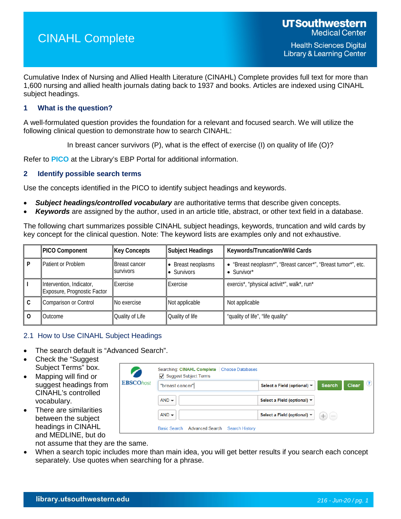# CINAHL Complete

Cumulative Index of Nursing and Allied Health Literature (CINAHL) Complete provides full text for more than 1,600 nursing and allied health journals dating back to 1937 and books. Articles are indexed using CINAHL subject headings.

## **1 What is the question?**

A well-formulated question provides the foundation for a relevant and focused search. We will utilize the following clinical question to demonstrate how to search CINAHL:

In breast cancer survivors (P), what is the effect of exercise (I) on quality of life (O)?

Refer to **[PICO](https://library.utsouthwestern.edu/main/portals/ebpp/main.aspx?pico)** at the Library's EBP Portal for additional information.

#### **2 Identify possible search terms**

Use the concepts identified in the PICO to identify subject headings and keywords.

- *Subject headings/controlled vocabulary* are authoritative terms that describe given concepts.
- *Keywords* are assigned by the author, used in an article title, abstract, or other text field in a database.

The following chart summarizes possible CINAHL subject headings, keywords, truncation and wild cards by key concept for the clinical question. Note: The keyword lists are examples only and not exhaustive.

| <b>PICO Component</b>                                   | <b>Key Concepts</b>                      | Subject Headings                | Keywords/Truncation/Wild Cards                                                                   |
|---------------------------------------------------------|------------------------------------------|---------------------------------|--------------------------------------------------------------------------------------------------|
| Patient or Problem                                      | <b>Breast cancer</b><br><b>SUIVIVOLS</b> | Breast neoplasms<br>• Survivors | • "Breast neoplasm*", "Breast cancer*", "Breast tumor*", etc.<br>$\bullet$ Survivor <sup>*</sup> |
| Intervention, Indicator,<br>Exposure, Prognostic Factor | Exercise                                 | Exercise                        | exercis*, "physical activit*", walk*, run*                                                       |
| <b>Comparison or Control</b>                            | No exercise                              | Not applicable                  | Not applicable                                                                                   |
| Outcome                                                 | Quality of Life                          | Quality of life                 | "quality of life", "life quality"                                                                |

#### 2.1 How to Use CINAHL Subject Headings

- The search default is "Advanced Search".
- Check the "Suggest Subject Terms" box.
- Mapping will find or suggest headings from CINAHL's controlled vocabulary.
- There are similarities between the subject headings in CINAHL and MEDLINE, but do

|                  | Searching: CINAHL Complete   Choose Databases<br>$\sqrt{ }$ Suggest Subject Terms |                                                |               |                              |
|------------------|-----------------------------------------------------------------------------------|------------------------------------------------|---------------|------------------------------|
| <b>EBSCOhost</b> | "breast cancer"                                                                   | Select a Field (optional) $\blacktriangledown$ | <b>Search</b> | $\mathbf{C}$<br><b>Clear</b> |
|                  | $AND -$                                                                           | Select a Field (optional) ▼                    |               |                              |
|                  | $AND -$                                                                           | Select a Field (optional) ▼                    | $-1$          |                              |
|                  | Basic Search Advanced Search<br>Search History                                    |                                                |               |                              |

not assume that they are the same.

• When a search topic includes more than main idea, you will get better results if you search each concept separately. Use quotes when searching for a phrase.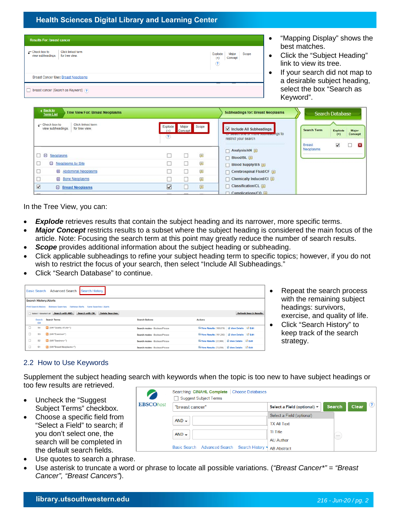| <b>Results For: breast cancer</b>          |                                     |  |                                                                 |  |
|--------------------------------------------|-------------------------------------|--|-----------------------------------------------------------------|--|
| $\Gamma$ Check box to<br>view subheadings. | Click linked term<br>for tree view. |  | Explode<br>Major<br>Scope<br>Concept<br>$^{(+)}$<br>$\circledR$ |  |
|                                            | Breast Cancer Use: Breast Neoplasms |  |                                                                 |  |
| breast cancer (Search as Keyword) (?)      |                                     |  |                                                                 |  |

- "Mapping Display" shows the best matches.
- Click the "Subject Heading" link to view its tree.
- If your search did not map to a desirable subject heading, select the box "Search as Keyword".

| <b>Back to</b><br><b>Tree View For: Breast Neoplasms</b><br><b>Term List</b>      |                         |                  |        | <b>Subheadings for: Breast Neoplasms</b>                                                 |                     | <b>Search Database</b>  |                  |
|-----------------------------------------------------------------------------------|-------------------------|------------------|--------|------------------------------------------------------------------------------------------|---------------------|-------------------------|------------------|
| Click linked term<br>$\Gamma$ Check box to<br>view subheadings.<br>for tree view. | Explode<br>$(+)$<br>(2) | Major<br>Concept | Scope  | Include All Subheadings<br>Or selections of more suprisaorigs to<br>restrict your search | <b>Search Term</b>  | Explode<br>$(+)$        | Major<br>Concept |
| $=$<br>Neoplasms                                                                  |                         |                  | $\Box$ | Analysis/AN<br>Blood/BL                                                                  | Breast<br>Neoplasms | $\overline{\mathbf{v}}$ | 23               |
| <b>E</b> Neoplasms by Site                                                        |                         |                  | $\Box$ | Blood Supply/BS                                                                          |                     |                         |                  |
| <b>El</b> Abdominal Neoplasms                                                     |                         |                  |        | Cerebrospinal Fluid/CF                                                                   |                     |                         |                  |
| <b>E</b> Bone Neoplasms                                                           |                         |                  | ▣      | T Chemically Induced/Cl 国                                                                |                     |                         |                  |
| $\overline{\blacktriangledown}$<br><b>E</b> Breast Neoplasms                      | $\overline{\vee}$       |                  | ⊜      | Classification/CL                                                                        |                     |                         |                  |
|                                                                                   |                         |                  |        | $\Box$ Complications $\Box$                                                              |                     |                         |                  |

In the Tree View, you can:

- **Explode** retrieves results that contain the subject heading and its narrower, more specific terms.
- *Major Concept* restricts results to a subset where the subject heading is considered the main focus of the article. Note: Focusing the search term at this point may greatly reduce the number of search results.
- **Scope** provides additional information about the subject heading or subheading.
- Click applicable subheadings to refine your subject heading term to specific topics; however, if you do not wish to restrict the focus of your search, then select "Include All Subheadings."
- Click "Search Database" to continue.

|        | Basic Search Advanced Search<br><b>Search History</b>                                                              |                         |                               |                                                           |  |  |  |  |  |
|--------|--------------------------------------------------------------------------------------------------------------------|-------------------------|-------------------------------|-----------------------------------------------------------|--|--|--|--|--|
|        | <b>Search History/Alerts</b>                                                                                       |                         |                               |                                                           |  |  |  |  |  |
|        | Print Search History Retrieve Searches<br>Retrieve Alerts Save Searches / Alerts                                   |                         |                               |                                                           |  |  |  |  |  |
|        | Select / deselect all Search with AND<br><b>Delete Searches</b><br>Search with OR<br><b>Refresh Search Results</b> |                         |                               |                                                           |  |  |  |  |  |
|        | Search<br><b>ID#</b>                                                                                               | <b>Search Terms</b>     | <b>Search Options</b>         | <b>Actions</b>                                            |  |  |  |  |  |
|        | <b>S4</b>                                                                                                          | MH "Quality of Life+")  | Search modes - Boolean/Phrase | View Results (103.878) A View Details C Edit              |  |  |  |  |  |
| u      | S <sub>3</sub>                                                                                                     | MH "Exercise+")         | Search modes - Boolean/Phrase | View Results (101,292) ( View Details   G Edit            |  |  |  |  |  |
| □      | S <sub>2</sub>                                                                                                     | MH "Survivors+")        | Search modes - Boolean/Phrase | View Results (22,906) <i>L</i> View Details <b>Z</b> Edit |  |  |  |  |  |
| $\Box$ | S <sub>1</sub>                                                                                                     | MH "Breast Neoplasms+") | Search modes - Boolean/Phrase | View Results (73,856) <i>U</i> View Details <i>D</i> Edit |  |  |  |  |  |

- Repeat the search process with the remaining subject headings: survivors, exercise, and quality of life.
- Click "Search History" to keep track of the search strategy.

## 2.2 How to Use Keywords

Supplement the subject heading search with keywords when the topic is too new to have subject headings or too few results are retrieved.

- Uncheck the "Suggest Subject Terms" checkbox.
- Choose a specific field from "Select a Field" to search; if you don't select one, the search will be completed in the default search fields.
- Use quotes to search a phrase.
- Use asterisk to truncate a word or phrase to locate all possible variations. (*"Breast Cancer\*" = "Breast Cancer", "Breast Cancers"*).

| <b>EBSCOhost</b> | Searching: CINAHL Complete<br><b>Choose Databases</b><br><b>Suggest Subject Terms</b> |                                                |                                                                                                                                                                                                                                                                                                                                                                                                                                                                            |  |
|------------------|---------------------------------------------------------------------------------------|------------------------------------------------|----------------------------------------------------------------------------------------------------------------------------------------------------------------------------------------------------------------------------------------------------------------------------------------------------------------------------------------------------------------------------------------------------------------------------------------------------------------------------|--|
|                  | "breast cancer"                                                                       | Select a Field (optional) $\blacktriangledown$ | $\circled{?}$<br>Clear<br><b>Search</b>                                                                                                                                                                                                                                                                                                                                                                                                                                    |  |
|                  |                                                                                       | Select a Field (optional)                      |                                                                                                                                                                                                                                                                                                                                                                                                                                                                            |  |
|                  | $AND -$                                                                               | <b>TX All Text</b>                             |                                                                                                                                                                                                                                                                                                                                                                                                                                                                            |  |
|                  | $AND -$                                                                               | TI Title                                       | $\frac{1}{2} \left( \frac{1}{2} \right) \left( \frac{1}{2} \right) \left( \frac{1}{2} \right) \left( \frac{1}{2} \right) \left( \frac{1}{2} \right) \left( \frac{1}{2} \right) \left( \frac{1}{2} \right) \left( \frac{1}{2} \right) \left( \frac{1}{2} \right) \left( \frac{1}{2} \right) \left( \frac{1}{2} \right) \left( \frac{1}{2} \right) \left( \frac{1}{2} \right) \left( \frac{1}{2} \right) \left( \frac{1}{2} \right) \left( \frac{1}{2} \right) \left( \frac$ |  |
|                  |                                                                                       | <b>AU Author</b>                               |                                                                                                                                                                                                                                                                                                                                                                                                                                                                            |  |
|                  | Basic Search Advanced Search Search History                                           | <b>AB Abstract</b>                             |                                                                                                                                                                                                                                                                                                                                                                                                                                                                            |  |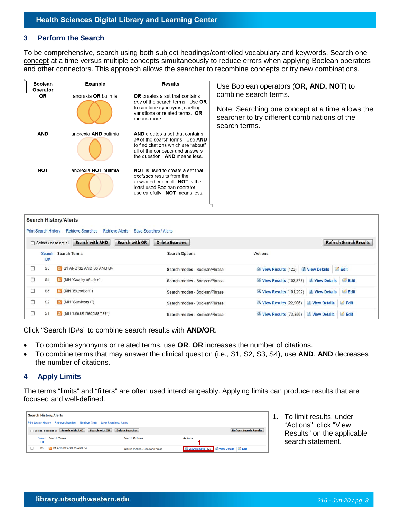#### **3 Perform the Search**

To be comprehensive, search using both subject headings/controlled vocabulary and keywords. Search one concept at a time versus multiple concepts simultaneously to reduce errors when applying Boolean operators and other connectors. This approach allows the searcher to recombine concepts or try new combinations.

| <b>Boolean</b><br>Operator | <b>Example</b>       | <b>Results</b>                                                                                                                                                                        | Use Boolean operators (OR, AND, NOT) to                                                                                                     |
|----------------------------|----------------------|---------------------------------------------------------------------------------------------------------------------------------------------------------------------------------------|---------------------------------------------------------------------------------------------------------------------------------------------|
| <b>OR</b>                  | anorexia OR bulimia  | <b>OR</b> creates a set that contains<br>any of the search terms. Use OR<br>to combine synonyms, spelling<br>variations or related terms. OR<br>means more.                           | combine search terms.<br>Note: Searching one concept at a time allows the<br>searcher to try different combinations of the<br>search terms. |
| <b>AND</b>                 | anorexia AND bulimia | <b>AND</b> creates a set that contains<br>all of the search terms. Use AND<br>to find citations which are "about"<br>all of the concepts and answers<br>the question. AND means less. |                                                                                                                                             |
| <b>NOT</b>                 | anorexia NOT bulimia | <b>NOT</b> is used to create a set that<br>excludes results from the<br>unwanted concept. NOT is the<br>least used Boolean operator -<br>use carefully. NOT means less.               |                                                                                                                                             |

|        |                             | <b>Search History/Alerts</b> |                        |                        |                               |                                                            |                               |
|--------|-----------------------------|------------------------------|------------------------|------------------------|-------------------------------|------------------------------------------------------------|-------------------------------|
|        | <b>Print Search History</b> | <b>Retrieve Searches</b>     |                        | <b>Retrieve Alerts</b> | Save Searches / Alerts        |                                                            |                               |
|        | □ Select / deselect all     |                              | <b>Search with AND</b> | <b>Search with OR</b>  | <b>Delete Searches</b>        |                                                            | <b>Refresh Search Results</b> |
|        | Search<br>ID#               | <b>Search Terms</b>          |                        |                        | <b>Search Options</b>         | <b>Actions</b>                                             |                               |
| □      | S <sub>5</sub>              | S1 AND S2 AND S3 AND S4      |                        |                        | Search modes - Boolean/Phrase | View Results (123) <i>i</i> View Details <i>i</i> Edit     |                               |
| □      | S <sub>4</sub>              | MH "Quality of Life+")       |                        |                        | Search modes - Boolean/Phrase | View Results (103,878) <i>I</i> View Details <i>I</i> Edit |                               |
| □      | S <sub>3</sub>              | MH "Exercise+")              |                        |                        | Search modes - Boolean/Phrase | View Results (101,292) <i>I</i> View Details <i>L</i> Edit |                               |
| $\Box$ | S <sub>2</sub>              | MH "Survivors+")             |                        |                        | Search modes - Boolean/Phrase | View Results (22,906)                                      | View Details Edit             |
| □      | S <sub>1</sub>              | MH "Breast Neoplasms+")      |                        |                        | Search modes - Boolean/Phrase | View Results (73.856)                                      | View Details Edit             |

Click "Search ID#s" to combine search results with **AND/OR**.

- To combine synonyms or related terms, use **OR**. **OR** increases the number of citations.
- To combine terms that may answer the clinical question (i.e., S1, S2, S3, S4), use **AND**. **AND** decreases the number of citations.

#### **4 Apply Limits**

The terms "limits" and "filters" are often used interchangeably. Applying limits can produce results that are focused and well-defined.

|                                                                                                                                     | <b>Search History/Alerts</b> |                               |                                        |  |  |  |  |
|-------------------------------------------------------------------------------------------------------------------------------------|------------------------------|-------------------------------|----------------------------------------|--|--|--|--|
| Print Search History Retrieve Searches Retrieve Alerts Save Searches / Alerts                                                       |                              |                               |                                        |  |  |  |  |
| <b>Delete Searches</b><br><b>Search with AND</b><br><b>Search with OR</b><br><b>Refresh Search Results</b><br>Select / deselect all |                              |                               |                                        |  |  |  |  |
| ID#                                                                                                                                 | Search Search Terms          | <b>Search Options</b>         | <b>Actions</b>                         |  |  |  |  |
| S5                                                                                                                                  | S1 AND S2 AND S3 AND S4      | Search modes - Boolean/Phrase | View Results (123) I View Details Edit |  |  |  |  |

1. To limit results, under "Actions", click "View Results" on the applicable search statement.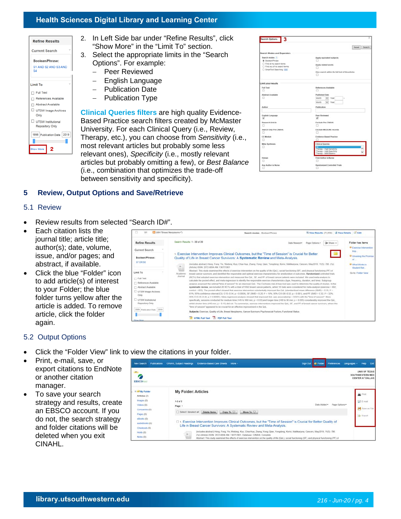| <b>Refine Results</b>       |
|-----------------------------|
| <b>Current Search</b>       |
| Boolean/Phrase:             |
| S1 AND S2 AND S3 AND<br>S4  |
| <b>Limit To</b>             |
| $\Box$ Full Text            |
| References Available        |
| □ Abstract Available        |
| UTSW Image Archives<br>Only |
| UTSW Institutional          |
| <b>Repository Only</b>      |
| 1998 Publication Date 2019  |
|                             |
| 2<br>Show More              |

- 2. In Left Side bar under "Refine Results", click "Show More" in the "Limit To" section.
- 3. Select the appropriate limits in the "Search Options". For example:
	- − Peer Reviewed
	- − English Language
	- − Publication Date
	- − Publication Type

**[Clinical Queries filters](https://hiru.mcmaster.ca/hiru/HIRU_Hedges_home.aspx)** are high quality Evidence-Based Practice search filters created by McMaster University. For each Clinical Query (i.e., Review, Therapy, etc.), you can choose from *Sensitivity* (i.e., most relevant articles but probably some less relevant ones), *Specificity* (i.e., mostly relevant articles but probably omitting a few), or *Best Balance* (i.e., combination that optimizes the trade-off between sensitivity and specificity).

| 3<br>Search Options                                                                                                             |                                                                                                               |
|---------------------------------------------------------------------------------------------------------------------------------|---------------------------------------------------------------------------------------------------------------|
|                                                                                                                                 | Reset   Search                                                                                                |
| Search Modes and Expanders                                                                                                      |                                                                                                               |
| Search modes (?)<br>C Societan/Phrase<br>C Find all my search terms.<br>Find any of my search terms<br>SmartText Searching Hitt | Apply equivalent subjects<br>Apply related words<br>Also search within the full text of the articles<br>▫     |
| Limit your results                                                                                                              |                                                                                                               |
| Full Test<br>o                                                                                                                  | References Available<br>o                                                                                     |
| <b>Abstract Available</b><br>o                                                                                                  | Published Date<br>Month.<br>$v$ Year<br>Month.<br>Year.<br>w.                                                 |
| Author                                                                                                                          | Publication                                                                                                   |
| English Language<br>58                                                                                                          | <b>Peer Raviewed</b><br>ø                                                                                     |
| Research Article<br>o                                                                                                           | Exclude Pre-CINAHL<br>Ω                                                                                       |
| Search Only Pre-CINAHL<br>ο                                                                                                     | Exclude MEDLINE records<br>o                                                                                  |
| CE Module<br>o                                                                                                                  | Evidence Based Practice                                                                                       |
| Meta Synthesis                                                                                                                  | <b>Clinical Queries</b><br>Therapy - High Sensitivity<br>Therapy - High Specificity<br>Therapy - Best Balance |
| <b>Human</b>                                                                                                                    | First Author is Nurse                                                                                         |
| Any Author is Nurse                                                                                                             | Randomized Controlled Trials                                                                                  |

## **5 Review, Output Options and Save/Retrieve**

#### 5.1 Review

- Review results from selected "Search ID#".
- Each citation lists the journal title; article title; author(s); date, volume, issue, and/or pages; and abstract, if available.
- Click the blue "Folder" icon to add article(s) of interest to your Folder; the blue folder turns yellow after the article is added. To remove article, click the folder again.

### 5.2 Output Options

- Click the "Folder View" link to view the citations in your folder.
- Print, e-mail, save, or export citations to EndNote or another citation manager.
- To save your search strategy and results, create an EBSCO account. If you do not, the search strategy and folder citations will be deleted when you exit CINAHL.

| Publications<br>New Search                                                       | <b>CINAHL Subject Headings</b><br><b>Evidence-Based Care Sheets</b><br>More +                                                                                                                                                                                                                                                                                                        |  |  | Sign Out & Folder Preferences | Languages - | Help                                                         | Exit                             |
|----------------------------------------------------------------------------------|--------------------------------------------------------------------------------------------------------------------------------------------------------------------------------------------------------------------------------------------------------------------------------------------------------------------------------------------------------------------------------------|--|--|-------------------------------|-------------|--------------------------------------------------------------|----------------------------------|
| <b>EBSCOnou</b>                                                                  |                                                                                                                                                                                                                                                                                                                                                                                      |  |  |                               |             | <b>UNIV OF TEXAS</b><br>SOUTHWESTERN MED<br>CENTER AT DALLAS |                                  |
| a Lil My Folder<br>Articles (2)<br>Images (0)<br>Videos (0)                      | <b>My Folder: Articles</b><br>$1 - 2$ of $2$<br>Date Added =<br>Page Options<br>Page: 1                                                                                                                                                                                                                                                                                              |  |  |                               |             |                                                              | Sel E-mail                       |
| Companies (0)<br>Pages (0)<br>$e$ Books $(0)$<br>audioBooks (0)<br>Checkouts (0) | Soloct / dosoloct all<br>Delete Items<br>Copy To D<br>Move To V<br>1. Exercise Intervention Improves Clinical Outcomes, but the "Time of Session" is Crucial for Better Quality of<br>Life in Breast Cancer Survivors: A Systematic Review and Meta-Analysis.                                                                                                                        |  |  |                               |             |                                                              | Save as File<br><b>Bo</b> Export |
| Holds (0)<br>Notes (0)                                                           | (includes abstract) Hong, Feng: Ye, Weibing, Kuo, Chia-Hua; Zhang, Yong; Qian, Yongdong, Korivi, Malikarjuna; Cancers, May2019; 11(5): 706.<br>(1p) (Article) ISSN: 2072-6694 AN: 136751061, Database: CINAHL Complete<br>Abstract: This study examined the effects of exercise intervention on the quality of life (QoL), social functioning (SF), and physical functioning (PF) of |  |  |                               |             |                                                              |                                  |

| S1                                    | Ed (MH "Breast Necolasms+")                  | Search modes - Boolean/Phrase                                                                                                                                                                                                                                                                                                                                                                                                                        |                             | Si View Results (73.856) [ View Details   Edit         |  |
|---------------------------------------|----------------------------------------------|------------------------------------------------------------------------------------------------------------------------------------------------------------------------------------------------------------------------------------------------------------------------------------------------------------------------------------------------------------------------------------------------------------------------------------------------------|-----------------------------|--------------------------------------------------------|--|
| <b>Refine Results</b>                 | Search Results: 1 - 39 of 39                 | <b>Clotho Menamed +</b>                                                                                                                                                                                                                                                                                                                                                                                                                              | G Sharp -<br>Page Options = | Folder has items<br><sup>O</sup> Exercise Intervention |  |
| Current Search                        |                                              |                                                                                                                                                                                                                                                                                                                                                                                                                                                      |                             | limp.                                                  |  |
| Boolean/Phrase:<br><b>S7 OR S8</b>    |                                              | 1. Exercise Intervention Improves Clinical Outcomes, but the "Time of Session" is Crucial for Better<br>Quality of Life in Breast Cancer Survivors: A Systematic Review and Meta-Analysis.                                                                                                                                                                                                                                                           |                             | D Unveling the Promise<br>$ct$ .                       |  |
|                                       | E<br>(Article) ISSN: 2072-6694 AN: 136751061 | (includes abstract) Hong, Feng; Ye, Weibing; Kuo, Chie-Hua; Zhang, Yong; Qian, Yongdong; Korivi, Mallikanuna; Cancers, May2019; 11(5); 706; (1p)<br>Abstract. This study examined the effects of exercise intervention on the quality of life (QoL), social functioning (SF), and physical functioning (PF) of                                                                                                                                       |                             | <sup>O</sup> What Works in<br><b>Student Ret</b>       |  |
| Limit To                              | Academic<br><b>Journal</b>                   | treast cancer survivors, and identified the responsible and optimal exercise characteristics for amelioration of outcomes. Randomized controlled trials                                                                                                                                                                                                                                                                                              |                             | Go to: Folder View                                     |  |
| TT Full Text                          |                                              | (RCTs) that adopted exercise intervention and measured the QoL. SF, and PF of breast cancer patients were included. We used meta-analysis to                                                                                                                                                                                                                                                                                                         |                             |                                                        |  |
| References Available                  |                                              | calculate the pooled effect, and meta-regression to identify the responsible exercise characteristics (type, frequency, duration, and time). Subgroup<br>analysis assessed the optimal "time of session" for an irrproved QoL. The Cochrane risk-of-bias tool was used to determine the quality of studies. In the                                                                                                                                   |                             |                                                        |  |
| Abstract Available                    |                                              | systematic review, we included 26 RCTs with a total of 1892 breast cancer patients, whilst 18 trials were considered for meta-analysis (exercise = 602)                                                                                                                                                                                                                                                                                              |                             |                                                        |  |
| UTSW Image Archives<br>Only           |                                              | control = 603). The pooled effect showed that exercise intervention substantially improved the QoL (standardized mean difference (SMD) = 0.35: P =<br>61%; 95% confidence infernal (CI): 0.15-0.54; p = 0.0004); SF (SMD = 0.20; P = 16%; 95% CL0.08-0.32; p = 0.001), and PF (SMD = 0.32; P = 32%;<br>95% CL0.20-0.44; p < 0.00001). Meta-regression analysis showed that improved Gol, was associated (p = 0.041) with the "time of session". More |                             |                                                        |  |
| UTSW Institutional<br>Repository Only |                                              | specifically, sessions conducted for medium-time (>45 to 560 min; p = 0.03) and longer-time (>60 to 90 min; p = 0.005) considerably improved the QoE.<br>whilst shorter-time (545 min; p = 0.15) did not. To summarize, exercise interventions improved the QoL. SF, and PF of breast cancer survivors, where the<br>"time of session" appeared to be crucial for an effective improvement in the QoL.                                               |                             |                                                        |  |
| 2009 Publication Date 2019            |                                              |                                                                                                                                                                                                                                                                                                                                                                                                                                                      |                             |                                                        |  |
|                                       |                                              | Subjects: Exercise: Quality of Life; Breast Neoplasms; Cancer Survivors Psychosocial Factors; Functional Status                                                                                                                                                                                                                                                                                                                                      |                             |                                                        |  |
| Show Move                             | <b>HTML Full Text</b>                        | PDF Full Text                                                                                                                                                                                                                                                                                                                                                                                                                                        |                             |                                                        |  |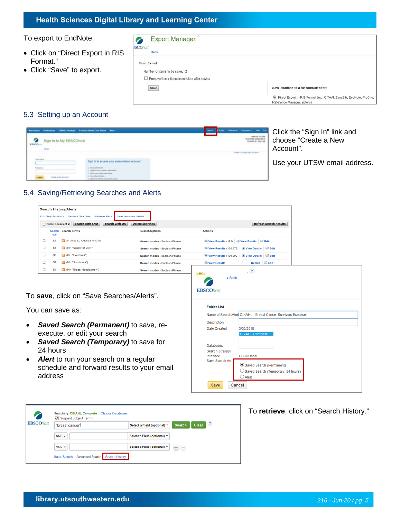To export to EndNote:

- Click on "Direct Export in RIS Format."
- Click "Save" to export.

| <b>Export Manager</b>                              |                                                                                                                |
|----------------------------------------------------|----------------------------------------------------------------------------------------------------------------|
| <b>BSCOhost</b><br><b>Back</b>                     |                                                                                                                |
| Save E-mail                                        |                                                                                                                |
| Number of items to be saved: 2                     |                                                                                                                |
| $\Box$ Remove these items from folder after saving |                                                                                                                |
| Save                                               | Save citations to a file formatted for:                                                                        |
|                                                    | <sup>●</sup> Direct Export in RIS Format (e.g. CITAVI, EasyBib, EndNote, ProCite,<br>Motorcare Heroese Totonal |

#### 5.3 Setting up an Account

| <b>Reaches Publishers CHAR Healthpy Exhibits Dead Care States - Most -</b><br>on in to My EBSCOhost |                                              | These measures (present) two but | Click the "Sign In" link and<br>choose "Create a New<br>Account". |
|-----------------------------------------------------------------------------------------------------|----------------------------------------------|----------------------------------|-------------------------------------------------------------------|
|                                                                                                     | Sign in to access your personatized account. |                                  | Use your UTSW email address.                                      |

## 5.4 Saving/Retrieving Searches and Alerts

| <b>Search History/Alerts</b> |                |                          |                                                 |                                                             |
|------------------------------|----------------|--------------------------|-------------------------------------------------|-------------------------------------------------------------|
| <b>Print Search History</b>  |                | <b>Retrieve Searches</b> | Retrieve Alerts Save Searches / Alerts          |                                                             |
| Select / deselect all        |                | Search with AND          | <b>Search with OR</b><br><b>Delete Searches</b> | <b>Refresh Search Results</b>                               |
|                              | Search<br>ID#  | <b>Search Terms</b>      | <b>Search Options</b>                           | <b>Actions</b>                                              |
| □                            | S5             | S1 AND S2 AND S3 AND S4  | Search modes - Boolean/Phrase                   | View Results (123) I View Details Edit                      |
| □                            | S4             | MH "Quality of Life+")   | Search modes - Boolean/Phrase                   | View Results (103,878) L View Details Edit                  |
| □                            | S <sub>3</sub> | MH "Exercise+")          | Search modes - Boolean/Phrase                   | View Results (101,292) <i>ii</i> View Details <b>d</b> Edit |
| □                            | S2             | MH "Survivors+")         | Search modes - Boolean/Phrase                   | E. Grant<br>Details <b>Bu</b> Edit<br>View Results          |
| □                            | S1             | MH "Breast Neoplasms+")  | Search modes - Boolean/Phrase                   | , (2)<br><b>MY</b>                                          |
|                              |                |                          |                                                 | a Doole                                                     |

#### To **save**, click on "Save Searches/Alerts".

You can save as:

- *Saved Search (Permanent)* to save, reexecute, or edit your search
- *Saved Search (Temporary)* to save for 24 hours
- *Alert* to run your search on a regular schedule and forward results to your email address

| <b>MY</b><br>4 Back<br><b>EBSCOhost</b> | . (?)                                                                              |
|-----------------------------------------|------------------------------------------------------------------------------------|
| <b>Folder List</b>                      |                                                                                    |
|                                         | Name of Search/Alert CINAHL - Breast Cancer Survivors Exercise                     |
| Description                             |                                                                                    |
| Date Created                            | 3/30/2018                                                                          |
| <b>Databases</b>                        | <b>CINAHL Complete</b>                                                             |
| <b>Search Strategy</b><br>Interface     | <b>EBSCOhost</b>                                                                   |
| Save Search As                          | Saved Search (Permanent)<br>$\bigcirc$ Saved Search (Temporary, 24 hours)<br>Alert |
| Save                                    | Cancel                                                                             |



#### To **retrieve**, click on "Search History."